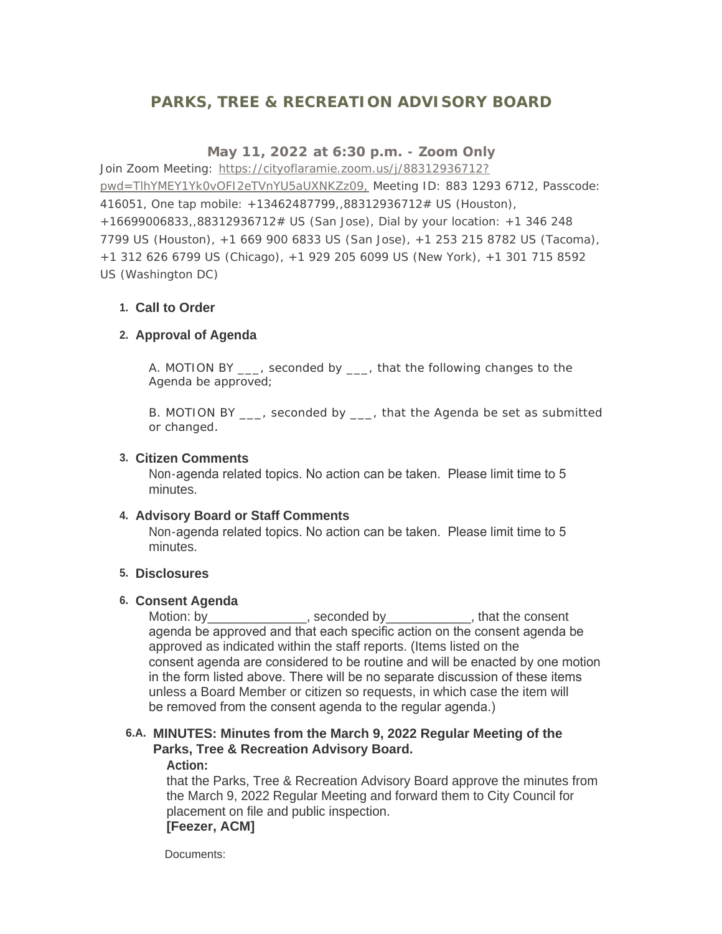# **PARKS, TREE & RECREATION ADVISORY BOARD**

## **May 11, 2022 at 6:30 p.m. - Zoom Only**

Join Zoom Meeting: https://cityoflaramie.zoom.us/j/88312936712? pwd=TlhYMEY1Yk0v[OFI2eTVnYU5aUXNKZz09, Meeting ID: 883 1293 6712, Passcode:](https://cityoflaramie.zoom.us/j/88312936712?pwd=TlhYMEY1Yk0vOFI2eTVnYU5aUXNKZz09,)  416051, One tap mobile: +13462487799,,88312936712# US (Houston), +16699006833,,88312936712# US (San Jose), Dial by your location: +1 346 248 7799 US (Houston), +1 669 900 6833 US (San Jose), +1 253 215 8782 US (Tacoma), +1 312 626 6799 US (Chicago), +1 929 205 6099 US (New York), +1 301 715 8592 US (Washington DC)

### **Call to Order 1.**

### **Approval of Agenda 2.**

A. MOTION BY \_\_\_, seconded by \_\_\_, that the following changes to the Agenda be approved;

B. MOTION BY \_\_\_, seconded by \_\_\_, that the Agenda be set as submitted or changed.

### **Citizen Comments 3.**

Non-agenda related topics. No action can be taken. Please limit time to 5 minutes.

### **Advisory Board or Staff Comments 4.**

Non-agenda related topics. No action can be taken. Please limit time to 5 minutes.

### **Disclosures 5.**

### **Consent Agenda 6.**

Motion: by \_\_\_\_\_\_\_\_\_\_\_\_\_\_, seconded by \_\_\_\_\_\_\_\_\_\_\_\_, that the consent agenda be approved and that each specific action on the consent agenda be approved as indicated within the staff reports. (Items listed on the consent agenda are considered to be routine and will be enacted by one motion in the form listed above. There will be no separate discussion of these items unless a Board Member or citizen so requests, in which case the item will be removed from the consent agenda to the regular agenda.)

# **MINUTES: Minutes from the March 9, 2022 Regular Meeting of the 6.A. Parks, Tree & Recreation Advisory Board.**

#### **Action:**

that the Parks, Tree & Recreation Advisory Board approve the minutes from the March 9, 2022 Regular Meeting and forward them to City Council for placement on file and public inspection. **[Feezer, ACM]**

Documents: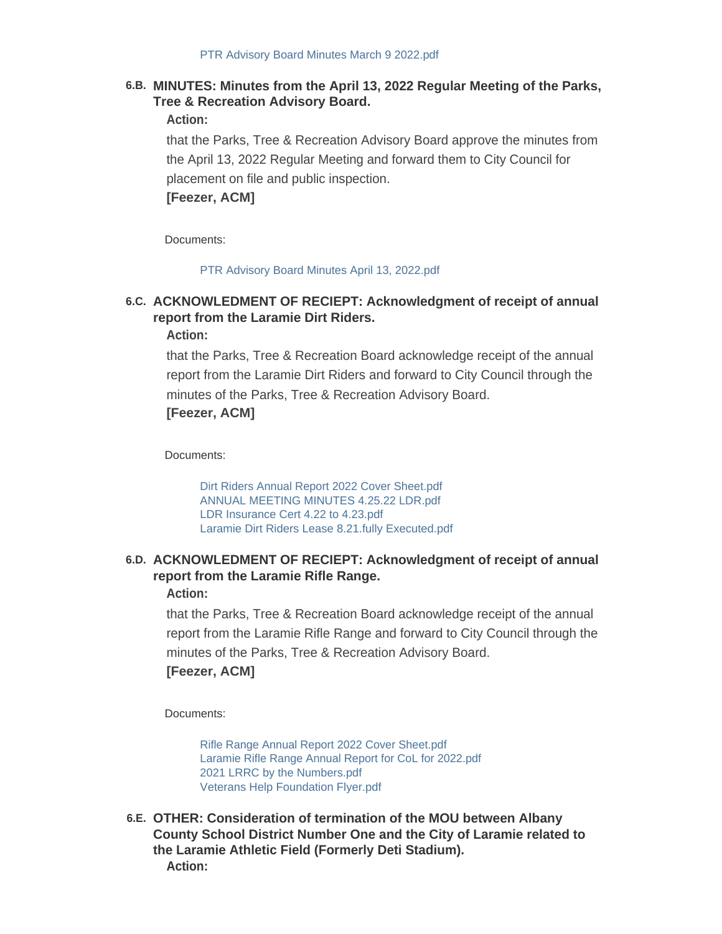### **MINUTES: Minutes from the April 13, 2022 Regular Meeting of the Parks, 6.B. Tree & Recreation Advisory Board.**

#### **Action:**

that the Parks, Tree & Recreation Advisory Board approve the minutes from the April 13, 2022 Regular Meeting and forward them to City Council for placement on file and public inspection.

**[Feezer, ACM]**

Documents:

#### [PTR Advisory Board Minutes April 13, 2022.pdf](https://cityoflaramie.org/AgendaCenter/ViewFile/Item/12408?fileID=16972)

# **ACKNOWLEDMENT OF RECIEPT: Acknowledgment of receipt of annual 6.C. report from the Laramie Dirt Riders.**

**Action:**

that the Parks, Tree & Recreation Board acknowledge receipt of the annual report from the Laramie Dirt Riders and forward to City Council through the minutes of the Parks, Tree & Recreation Advisory Board. **[Feezer, ACM]**

Documents:

[Dirt Riders Annual Report 2022 Cover Sheet.pdf](https://cityoflaramie.org/AgendaCenter/ViewFile/Item/12409?fileID=16988) [ANNUAL MEETING MINUTES 4.25.22 LDR.pdf](https://cityoflaramie.org/AgendaCenter/ViewFile/Item/12409?fileID=16989) [LDR Insurance Cert 4.22 to 4.23.pdf](https://cityoflaramie.org/AgendaCenter/ViewFile/Item/12409?fileID=16990) [Laramie Dirt Riders Lease 8.21.fully Executed.pdf](https://cityoflaramie.org/AgendaCenter/ViewFile/Item/12409?fileID=16991)

### **ACKNOWLEDMENT OF RECIEPT: Acknowledgment of receipt of annual 6.D. report from the Laramie Rifle Range.**

**Action:**

that the Parks, Tree & Recreation Board acknowledge receipt of the annual report from the Laramie Rifle Range and forward to City Council through the minutes of the Parks, Tree & Recreation Advisory Board. **[Feezer, ACM]**

Documents:

[Rifle Range Annual Report 2022 Cover Sheet.pdf](https://cityoflaramie.org/AgendaCenter/ViewFile/Item/12410?fileID=16992) [Laramie Rifle Range Annual Report for CoL for 2022.pdf](https://cityoflaramie.org/AgendaCenter/ViewFile/Item/12410?fileID=16993) [2021 LRRC by the Numbers.pdf](https://cityoflaramie.org/AgendaCenter/ViewFile/Item/12410?fileID=16994) [Veterans Help Foundation Flyer.pdf](https://cityoflaramie.org/AgendaCenter/ViewFile/Item/12410?fileID=16995)

**OTHER: Consideration of termination of the MOU between Albany 6.E. County School District Number One and the City of Laramie related to the Laramie Athletic Field (Formerly Deti Stadium). Action:**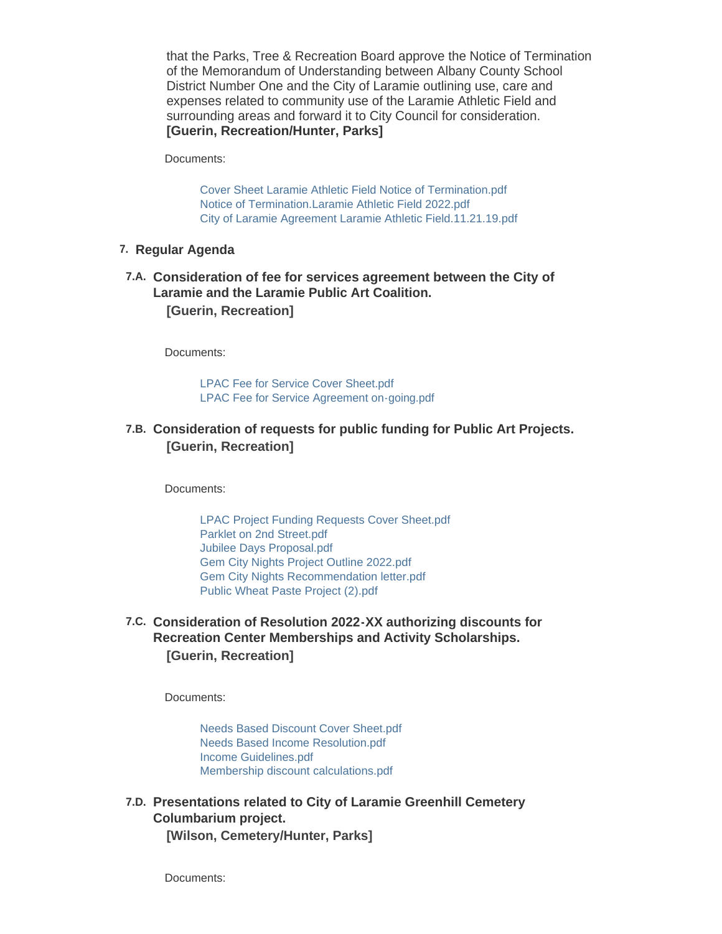that the Parks, Tree & Recreation Board approve the Notice of Termination of the Memorandum of Understanding between Albany County School District Number One and the City of Laramie outlining use, care and expenses related to community use of the Laramie Athletic Field and surrounding areas and forward it to City Council for consideration. **[Guerin, Recreation/Hunter, Parks]**

Documents:

[Cover Sheet Laramie Athletic Field Notice of Termination.pdf](https://cityoflaramie.org/AgendaCenter/ViewFile/Item/12337?fileID=16973) [Notice of Termination.Laramie Athletic Field 2022.pdf](https://cityoflaramie.org/AgendaCenter/ViewFile/Item/12337?fileID=16974) [City of Laramie Agreement Laramie Athletic Field.11.21.19.pdf](https://cityoflaramie.org/AgendaCenter/ViewFile/Item/12337?fileID=16975)

#### **Regular Agenda 7.**

**Consideration of fee for services agreement between the City of 7.A. Laramie and the Laramie Public Art Coalition. [Guerin, Recreation]**

Documents:

[LPAC Fee for Service Cover Sheet.pdf](https://cityoflaramie.org/AgendaCenter/ViewFile/Item/12336?fileID=16976) [LPAC Fee for Service Agreement on-going.pdf](https://cityoflaramie.org/AgendaCenter/ViewFile/Item/12336?fileID=16977)

### **Consideration of requests for public funding for Public Art Projects. 7.B. [Guerin, Recreation]**

Documents:

[LPAC Project Funding Requests Cover Sheet.pdf](https://cityoflaramie.org/AgendaCenter/ViewFile/Item/12338?fileID=16978) [Parklet on 2nd Street.pdf](https://cityoflaramie.org/AgendaCenter/ViewFile/Item/12338?fileID=16979) [Jubilee Days Proposal.pdf](https://cityoflaramie.org/AgendaCenter/ViewFile/Item/12338?fileID=16980) [Gem City Nights Project Outline 2022.pdf](https://cityoflaramie.org/AgendaCenter/ViewFile/Item/12338?fileID=16981) [Gem City Nights Recommendation letter.pdf](https://cityoflaramie.org/AgendaCenter/ViewFile/Item/12338?fileID=16982) [Public Wheat Paste Project \(2\).pdf](https://cityoflaramie.org/AgendaCenter/ViewFile/Item/12338?fileID=16983)

### **Consideration of Resolution 2022-XX authorizing discounts for 7.C. Recreation Center Memberships and Activity Scholarships. [Guerin, Recreation]**

Documents:

[Needs Based Discount Cover Sheet.pdf](https://cityoflaramie.org/AgendaCenter/ViewFile/Item/12339?fileID=16984) [Needs Based Income Resolution.pdf](https://cityoflaramie.org/AgendaCenter/ViewFile/Item/12339?fileID=16985) [Income Guidelines.pdf](https://cityoflaramie.org/AgendaCenter/ViewFile/Item/12339?fileID=16986) [Membership discount calculations.pdf](https://cityoflaramie.org/AgendaCenter/ViewFile/Item/12339?fileID=16987)

**Presentations related to City of Laramie Greenhill Cemetery 7.D. Columbarium project.**

**[Wilson, Cemetery/Hunter, Parks]**

Documents: